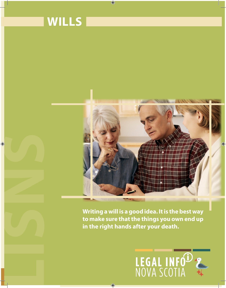

 $\bigcirc$ 



**to make sure that the things you own end up in the right hands after your death.**

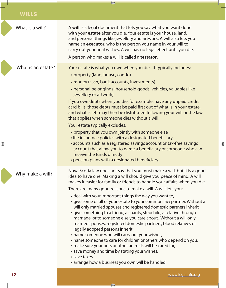| What is a will?    | A will is a legal document that lets you say what you want done<br>with your estate after you die. Your estate is your house, land,<br>and personal things like jewellery and artwork. A will also lets you<br>name an <b>executor</b> , who is the person you name in your will to<br>carry out your final wishes. A will has no legal effect until you die.<br>A person who makes a will is called a <b>testator</b> .                                                                                                                                                                                                                                                                                                                                                                                                                                                                                                                                                                                                                                                                                                     |
|--------------------|------------------------------------------------------------------------------------------------------------------------------------------------------------------------------------------------------------------------------------------------------------------------------------------------------------------------------------------------------------------------------------------------------------------------------------------------------------------------------------------------------------------------------------------------------------------------------------------------------------------------------------------------------------------------------------------------------------------------------------------------------------------------------------------------------------------------------------------------------------------------------------------------------------------------------------------------------------------------------------------------------------------------------------------------------------------------------------------------------------------------------|
| What is an estate? | Your estate is what you own when you die. It typically includes:<br>• property (land, house, condo)<br>• money (cash, bank accounts, investments)<br>• personal belongings (household goods, vehicles, valuables like<br>jewellery or artwork)<br>If you owe debts when you die, for example, have any unpaid credit<br>card bills, those debts must be paid first out of what is in your estate,<br>and what is left may then be distributed following your will or the law<br>that applies when someone dies without a will.<br>Your estate typically excludes:<br>• property that you own jointly with someone else<br>· life insurance policies with a designated beneficiary<br>• accounts such as a registered savings account or tax-free savings<br>account that allow you to name a beneficiary or someone who can<br>receive the funds directly                                                                                                                                                                                                                                                                    |
| Why make a will?   | • pension plans with a designated beneficiary.<br>Nova Scotia law does not say that you must make a will, but it is a good<br>idea to have one. Making a will should give you peace of mind. A will<br>makes it easier for family or friends to handle your affairs when you die.<br>There are many good reasons to make a will. A will lets you:<br>• deal with your important things the way you want to,<br>• give some or all of your estate to your common law partner. Without a<br>will only married spouses and registered domestic partners inherit,<br>· give something to a friend, a charity, stepchild, a relative through<br>marriage, or to someone else you care about. Without a will only<br>married spouses, registered domestic partners, blood relatives or<br>legally adopted persons inherit,<br>• name someone who will carry out your wishes,<br>• name someone to care for children or others who depend on you,<br>• make sure your pets or other animals will be cared for,<br>• save money and time by stating your wishes,<br>· save taxes<br>• arrange how a business you own will be handled |

 $\bigcirc$ 

 $\bigcirc$ 

 $\bigoplus$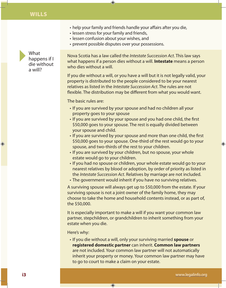- help your family and friends handle your affairs after you die,
- lessen stress for your family and friends,

 $\bigoplus$ 

- lessen confusion about your wishes, and
- prevent possible disputes over your possessions.



Nova Scotia has a law called the *Intestate Succession Act*. This law says what happens if a person dies without a will. **Intestate** means a person who dies without a will.

If you die without a will, or you have a will but it is not legally valid, your property is distributed to the people considered to be your nearest relatives as listed in the *Intestate Succession Act*. The rules are not flexible. The distribution may be different from what you would want.

The basic rules are:

- If you are survived by your spouse and had no children all your property goes to your spouse
- If you are survived by your spouse and you had one child, the first \$50,000 goes to your spouse. The rest is equally divided between your spouse and child.
- If you are survived by your spouse and more than one child, the first \$50,000 goes to your spouse. One-third of the rest would go to your spouse, and two-thirds of the rest to your children.
- If you are survived by your children, but no spouse, your whole estate would go to your children.
- If you had no spouse or children, your whole estate would go to your nearest relatives by blood or adoption, by order of priority as listed in the *Intestate Succession Act*. Relatives by marriage are not included.
- The government would inherit if you have no surviving relatives.

A surviving spouse will always get up to \$50,000 from the estate. If your surviving spouse is not a joint owner of the family home, they may choose to take the home and household contents instead, or as part of, the \$50,000.

It is especially important to make a will if you want your common law partner, stepchildren, or grandchildren to inherit something from your estate when you die.

Here's why:

• If you die without a will, only your surviving married **spouse** or **registered domestic partner** can inherit. **Common law partners** are not included. Your common law partner will not automatically inherit your property or money. Your common law partner may have to go to court to make a claim on your estate.

 $\bigcirc$ 

⊕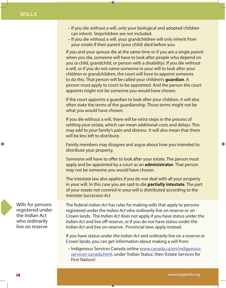• If you die without a will, only your biological and adopted children can inherit. Stepchildren are not included.

 $\bigcirc$ 

• If you die without a will, your grandchildren will only inherit from your estate if their parent (your child) died before you.

If you and your spouse die at the same time or if you are a single parent when you die, someone will have to look after people who depend on you (a child, grandchild, or person with a disability). If you die without a will, or if you do not name someone in your will to look after your children or grandchildren, the court will have to appoint someone to do this. That person will be called your children's **guardian**. A person must apply to court to be appointed. And the person the court appoints might not be someone you would have chosen.

If the court appoints a guardian to look after your children, it will also often state the terms of the guardianship. Those terms might not be what you would have chosen.

If you die without a will, there will be extra steps in the process of settling your estate, which can mean additional costs and delays. This may add to your family's pain and distress. It will also mean that there will be less left to distribute.

Family members may disagree and argue about how you intended to distribute your property.

Someone will have to offer to look after your estate. The person must apply and be appointed by a court as an **administrator**. That person may not be someone you would have chosen.

The intestate law also applies if you do not deal with all your property in your will. In this case you are said to die **partially intestate**. The part of your estate not covered in your will is distributed according to the *Intestate Succession Act*.

The federal *Indian Act* has rules for making wills that apply to persons registered under the *Indian Act* who ordinarily live on reserve or on Crown lands. The *Indian Act* does not apply if you have status under the *Indian Act* and live off-reserve, or if you do not have status under the *Indian Act* and live on-reserve. Provincial laws apply instead.

If you have status under the *Indian Act* and ordinarily live on a reserve or Crown lands, you can get information about making a will from:

• Indigenous Services Canada online www.canada.ca/en/indigenousservices-canada.html, under 'Indian Status', then 'Estate Services for First Nations'

◈

Wills for persons registered under the Indian Act who ordinarily live on reserve

⊕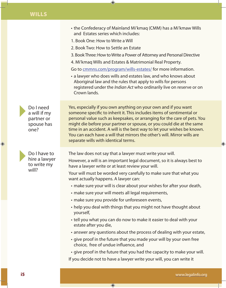- the Confederacy of Mainland Mi'kmaq (CMM) has a Mi'kmaw Wills and Estates series which includes:
- 1. Book One: How to Write a Will
- 2. Book Two: How to Settle an Estate

 $\bigoplus$ 

- 3. Book Three: How to Write a Power of Attorney and Personal Directive
- 4. Mi'kmaq Wills and Estates & Matrimonial Real Property.

Go to cmmns.com/program/wills-estates/ for more information.

• a lawyer who does wills and estates law, and who knows about Aboriginal law and the rules that apply to wills for persons registered under the *Indian Act* who ordinarily live on reserve or on Crown lands.

Do I need a will if my partner or spouse has one?

Do I have to hire a lawyer to write my will?

⊕

Yes, especially if you own anything on your own and if you want someone specific to inherit it. This includes items of sentimental or personal value such as keepsakes, or arranging for the care of pets. You might die before your partner or spouse, or you could die at the same time in an accident. A will is the best way to let your wishes be known. You can each have a will that mirrors the other's will. Mirror wills are separate wills with identical terms.

The law does not say that a lawyer must write your will.

However, a will is an important legal document, so it is always best to have a lawyer write or at least review your will.

Your will must be worded very carefully to make sure that what you want actually happens. A lawyer can:

- make sure your will is clear about your wishes for after your death,
- make sure your will meets all legal requirements,
- make sure you provide for unforeseen events,

 $\bigoplus$ 

- help you deal with things that you might not have thought about yourself,
- tell you what you can do now to make it easier to deal with your estate after you die,
- answer any questions about the process of dealing with your estate,
- give proof in the future that you made your will by your own free choice, free of undue influence, and

• give proof in the future that you had the capacity to make your will. If you decide not to have a lawyer write your will, you can write it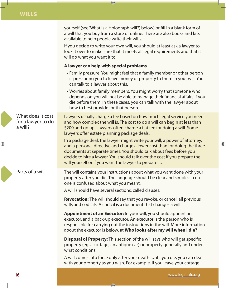yourself (see 'What is a Holograph will?', below) or fill in a blank form of a will that you buy from a store or online. There are also books and kits available to help people write their wills.

If you decide to write your own will, you should at least ask a lawyer to look it over to make sure that it meets all legal requirements and that it will do what you want it to.

### **A lawyer can help with special problems**

 $\bigoplus$ 

- Family pressure. You might feel that a family member or other person is pressuring you to leave money or property to them in your will. You can talk to a lawyer about this.
- Worries about family members. You might worry that someone who depends on you will not be able to manage their financial affairs if you die before them. In these cases, you can talk with the lawyer about how to best provide for that person.

Lawyers usually charge a fee based on how much legal service you need and how complex the will is. The cost to do a will can begin at less than

What does it cost for a lawyer to do a will?

\$200 and go up. Lawyers often charge a flat fee for doing a will. Some lawyers offer estate planning package deals. In a package deal, the lawyer might write your will, a power of attorney, and a personal directive and charge a lower cost than for doing the three documents at separate times. You should talk about fees before you decide to hire a lawyer. You should talk over the cost if you prepare the

Parts of a will

⊕

The will contains your instructions about what you want done with your property after you die. The language should be clear and simple, so no one is confused about what you meant.

A will should have several sections, called clauses:

◈

will yourself or if you want the lawyer to prepare it.

**Revocation:** The will should say that you revoke, or cancel, all previous wills and codicils. A codicil is a document that changes a will.

**Appointment of an Executor:** In your will, you should appoint an executor, and a back-up executor. An executor is the person who is responsible for carrying out the instructions in the will. More information about the executor is below, at **Who looks after my will when I die?**

**Disposal of Property:** This section of the will says who will get specific property (eg. a cottage, an antique car) or property generally and under what conditions.

A will comes into force only after your death. Until you die, you can deal with your property as you wish. For example, if you leave your cottage

♠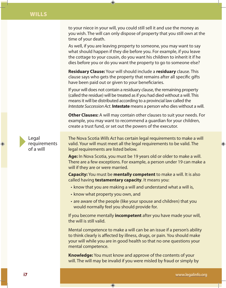to your niece in your will, you could still sell it and use the money as you wish. The will can only dispose of property that you still own at the time of your death.

 $\bigoplus$ 

As well, if you are leaving property to someone, you may want to say what should happen if they die before you. For example, if you leave the cottage to your cousin, do you want his children to inherit it if he dies before you or do you want the property to go to someone else?

**Residuary Clause:** Your will should include a **residuary** clause. This clause says who gets the property that remains after all specific gifts have been paid out or given to your beneficiaries.

If your will does not contain a residuary clause, the remaining property (called the residue) will be treated as if you had died without a will. This means it will be distributed according to a provincial law called the *Intestate Succession Act*. **Intestate** means a person who dies without a will.

**Other Clauses:** A will may contain other clauses to suit your needs. For example, you may want to recommend a guardian for your children, create a trust fund, or set out the powers of the executor.

Legal requirements of a will

◈

The Nova Scotia *Wills Act* has certain legal requirements to make a will valid. Your will must meet all the legal requirements to be valid. The legal requirements are listed below.

**Age:** In Nova Scotia, you must be 19 years old or older to make a will. There are a few exceptions. For example, a person under 19 can make a will if they are or were married.

**Capacity:** You must be **mentally competent** to make a will. It is also called having **testamentary capacity**. It means you:

- know that you are making a will and understand what a will is,
- know what property you own, and

 $\bigcirc$ 

• are aware of the people (like your spouse and children) that you would normally feel you should provide for.

If you become mentally **incompetent** after you have made your will, the will is still valid.

Mental competence to make a will can be an issue if a person's ability to think clearly is affected by illness, drugs, or pain. You should make your will while you are in good health so that no one questions your mental competence.

**Knowledge:** You must know and approve of the contents of your will. The will may be invalid if you were misled by fraud or simply by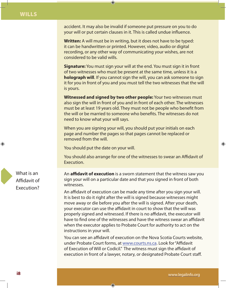accident. It may also be invalid if someone put pressure on you to do your will or put certain clauses in it. This is called undue influence.

 $\bigcirc$ 

**Written:** A will must be in writing, but it does not have to be typed: it can be handwritten or printed. However, video, audio or digital recording, or any other way of communicating your wishes, are not considered to be valid wills.

**Signature:** You must sign your will at the end. You must sign it in front of two witnesses who must be present at the same time, unless it is a **holograph will**. If you cannot sign the will, you can ask someone to sign it for you in front of you and you must tell the two witnesses that the will is yours.

**Witnessed and signed by two other people:** Your two witnesses must also sign the will in front of you and in front of each other. The witnesses must be at least 19 years old. They must not be people who benefit from the will or be married to someone who benefits. The witnesses do not need to know what your will says.

When you are signing your will, you should put your initials on each page and number the pages so that pages cannot be replaced or removed from the will.

You should put the date on your will.

You should also arrange for one of the witnesses to swear an Affidavit of Execution.

An **affidavit of execution** is a sworn statement that the witness saw you sign your will on a particular date and that you signed in front of both witnesses.

An affidavit of execution can be made any time after you sign your will. It is best to do it right after the will is signed because witnesses might move away or die before you after the will is signed. After your death, your executor can use the affidavit in court to show that the will was properly signed and witnessed. If there is no affidavit, the executor will have to find one of the witnesses and have the witness swear an affidavit when the executor applies to Probate Court for authority to act on the instructions in your will.

You can see an affidavit of execution on the Nova Scotia Courts website, under Probate Court forms, at www.courts.ns.ca. Look for "Affidavit of Execution of Will or Codicil." The witness must sign the affidavit of execution in front of a lawyer, notary, or designated Probate Court staff.

◈

What is an Affidavit of Execution?

⊕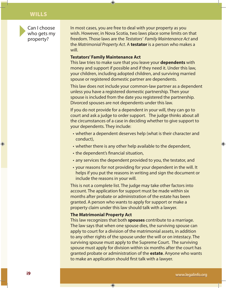Can I choose who gets my property?

In most cases, you are free to deal with your property as you wish. However, in Nova Scotia, two laws place some limits on that freedom. Those laws are the *Testators' Family Maintenance Act* and the *Matrimonial Property Act*. A **testator** is a person who makes a will.

#### **Testators' Family Maintenance Act**

 $\bigoplus$ 

This law tries to make sure that you leave your **dependents** with money and support if possible and if they need it. Under this law, your children, including adopted children, and surviving married spouse or registered domestic partner are dependents.

This law does not include your common-law partner as a dependent unless you have a registered domestic partnership. Then your spouse is included from the date you registered the partnership. Divorced spouses are not dependents under this law.

If you do not provide for a dependent in your will, they can go to court and ask a judge to order support. The judge thinks about all the circumstances of a case in deciding whether to give support to your dependents. They include:

- whether a dependent deserves help (what is their character and conduct),
- whether there is any other help available to the dependent,
- the dependent's financial situation,
- any services the dependent provided to you, the testator, and
- your reasons for not providing for your dependent in the will. It helps if you put the reasons in writing and sign the document or include the reasons in your will.

This is not a complete list. The judge may take other factors into account. The application for support must be made within six months after probate or administration of the estate has been granted. A person who wants to apply for support or make a property claim under this law should talk with a lawyer.

#### **The Matrimonial Property Act**

 $\bigcirc$ 

This law recognizes that both **spouses** contribute to a marriage. The law says that when one spouse dies, the surviving spouse can apply to court for a division of the matrimonial assets, in addition to any other rights of the spouse under the will or on intestacy. The surviving spouse must apply to the Supreme Court. The surviving spouse must apply for division within six months after the court has granted probate or administration of the **estate**. Anyone who wants to make an application should first talk with a lawyer.

⊕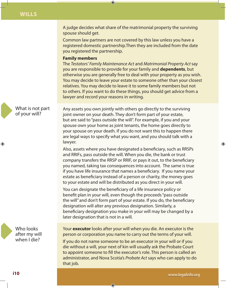A judge decides what share of the matrimonial property the surviving spouse should get.

 $\bigoplus$ 

Common law partners are not covered by this law unless you have a registered domestic partnership.Then they are included from the date you registered the partnership.

#### **Family members**

The *Testators' Family Maintenance Act* and *Matrimonial Property Act* say you are responsible to provide for your family and **dependents**, but otherwise you are generally free to deal with your property as you wish. You may decide to leave your estate to someone other than your closest relatives. You may decide to leave it to some family members but not to others. If you want to do these things, you should get advice from a lawyer and record your reasons in writing.

What is not part of your will?

⊕

Any assets you own jointly with others go directly to the surviving joint owner on your death. They don't form part of your estate, but are said to "pass outside the will". For example, if you and your spouse own your home as joint tenants, the home goes directly to your spouse on your death. If you do not want this to happen there are legal ways to specify what you want, and you should talk with a lawyer.

Also, assets where you have designated a beneficiary, such as RRSPs and RRIFs, pass outside the will. When you die, the bank or trust company transfers the RRSP or RRIF, or pays it out, to the beneficiary you named, taking tax consequences into account. The same is true if you have life insurance that names a beneficiary. If you name your estate as beneficiary instead of a person or charity, the money goes to your estate and will be distributed as you direct in your will.

You can designate the beneficiary of a life insurance policy or benefit plan in your will, even though the proceeds "pass outside the will" and don't form part of your estate. If you do, the beneficiary designation will alter any previous designation. Similarly, a beneficiary designation you make in your will may be changed by a later designation that is not in a will.

Who looks after my will when I die?

Your **executor** looks after your will when you die. An executor is the person or corporation you name to carry out the terms of your will.

If you do not name someone to be an executor in your will or if you die without a will, your next of kin will usually ask the Probate Court to appoint someone to fill the executor's role. This person is called an administrator, and Nova Scotia's *Probate Act* says who can apply to do that job.

◈

♠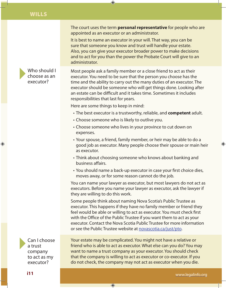Who should I choose as an executor?

⊕

The court uses the term **personal representative** for people who are appointed as an executor or an administrator.

It is best to name an executor in your will. That way, you can be sure that someone you know and trust will handle your estate. Also, you can give your executor broader power to make decisions and to act for you than the power the Probate Court will give to an administrator.

Most people ask a family member or a close friend to act as their executor. You need to be sure that the person you choose has the time and the ability to carry out the many duties of an executor. The executor should be someone who will get things done. Looking after an estate can be difficult and it takes time. Sometimes it includes responsibilities that last for years.

Here are some things to keep in mind:

 $\bigoplus$ 

- The best executor is a trustworthy, reliable, and **competent** adult.
- Choose someone who is likely to outlive you.
- Choose someone who lives in your province to cut down on expenses.
- Your spouse, a friend, family member, or heir may be able to do a good job as executor. Many people choose their spouse or main heir as executor.
- Think about choosing someone who knows about banking and business affairs.
- You should name a back-up executor in case your first choice dies, moves away, or for some reason cannot do the job.

You can name your lawyer as executor, but most lawyers do not act as executors. Before you name your lawyer as executor, ask the lawyer if they are willing to do this work.

Some people think about naming Nova Scotia's Public Trustee as executor. This happens if they have no family member or friend they feel would be able or willing to act as executor. You must check first with the Office of the Public Trustee if you want them to act as your executor. Contact the Nova Scotia Public Trustee for more information or see the Public Trustee website at novascotia.ca/just/pto.

Can I choose a trust company to act as my executor?

Your estate may be complicated. You might not have a relative or friend who is able to act as executor. What else can you do? You may want to name a trust company as your executor. You should check that the company is willing to act as executor or co-executor. If you do not check, the company may not act as executor when you die.

 $\bigcirc$ 

◈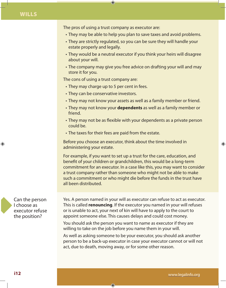The pros of using a trust company as executor are:

 $\bigcirc$ 

- They may be able to help you plan to save taxes and avoid problems.
- They are strictly regulated, so you can be sure they will handle your estate properly and legally.
- They would be a neutral executor if you think your heirs will disagree about your will.
- The company may give you free advice on drafting your will and may store it for you.

The cons of using a trust company are:

- They may charge up to 5 per cent in fees.
- They can be conservative investors.
- They may not know your assets as well as a family member or friend.
- They may not know your **dependents** as well as a family member or friend.
- They may not be as flexible with your dependents as a private person could be.
- The taxes for their fees are paid from the estate.

Before you choose an executor, think about the time involved in administering your estate.

For example, if you want to set up a trust for the care, education, and benefit of your children or grandchildren, this would be a long-term commitment for an executor. In a case like this, you may want to consider a trust company rather than someone who might not be able to make such a commitment or who might die before the funds in the trust have all been distributed.



♠

Yes. A person named in your will as executor can refuse to act as executor. This is called **renouncing**. If the executor you named in your will refuses or is unable to act, your next of kin will have to apply to the court to appoint someone else. This causes delays and could cost money.

You should ask the person you want to name as executor if they are willing to take on the job before you name them in your will.

◈

As well as asking someone to be your executor, you should ask another person to be a back-up executor in case your executor cannot or will not act, due to death, moving away, or for some other reason.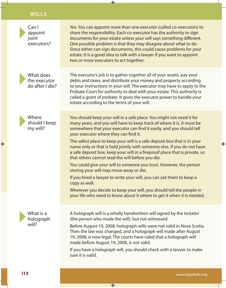| Can I<br>appoint<br>joint<br>executors?      | Yes. You can appoint more than one executor (called co-executors) to<br>share the responsibility. Each co-executor has the authority to sign<br>documents for your estate unless your will says something different.<br>One possible problem is that they may disagree about what to do.<br>Since either can sign documents, this could cause problems for your<br>estate. It is a good idea to talk with a lawyer if you want to appoint<br>two or more executors to act together.                                                                                                                                                                                                                                                                                                                                                                                                                                   |
|----------------------------------------------|-----------------------------------------------------------------------------------------------------------------------------------------------------------------------------------------------------------------------------------------------------------------------------------------------------------------------------------------------------------------------------------------------------------------------------------------------------------------------------------------------------------------------------------------------------------------------------------------------------------------------------------------------------------------------------------------------------------------------------------------------------------------------------------------------------------------------------------------------------------------------------------------------------------------------|
| What does<br>the executor<br>do after I die? | The executor's job is to gather together all of your assets, pay your<br>debts and taxes, and distribute your money and property according<br>to your instructions in your will. The executor may have to apply to the<br>Probate Court for authority to deal with your estate. This authority is<br>called a grant of probate. It gives the executor power to handle your<br>estate according to the terms of your will.                                                                                                                                                                                                                                                                                                                                                                                                                                                                                             |
| Where<br>should I keep<br>my will?           | You should keep your will in a safe place. You might not need it for<br>many years, and you will have to keep track of where it is. It must be<br>somewhere that your executor can find it easily, and you should tell<br>your executor where they can find it.<br>The safest place to keep your will is a safe deposit box that is in your<br>name only or that is held jointly with someone else. If you do not have<br>a safe deposit box, keep your will in a fireproof place that is private, so<br>that others cannot read the will before you die.<br>You could give your will to someone you trust. However, the person<br>storing your will may move away or die.<br>If you hired a lawyer to write your will, you can ask them to keep a<br>copy as well.<br>Wherever you decide to keep your will, you should tell the people in<br>your life who need to know about it where to get it when it is needed. |
| What is a<br>holograph<br>will?              | A holograph will is a wholly handwritten will signed by the testator<br>(the person who made the will), but not witnessed.<br>Before August 19, 2008, holograph wills were not valid in Nova Scotia.<br>Then the law was changed, and a holograph will made after August<br>19, 2008, is now legal. The courts have ruled that a holograph will<br>made before August 19, 2008, is not valid.<br>If you have a holograph will, you should check with a lawyer to make<br>sure it is valid.                                                                                                                                                                                                                                                                                                                                                                                                                            |
| i13                                          | www.legalinfo.org                                                                                                                                                                                                                                                                                                                                                                                                                                                                                                                                                                                                                                                                                                                                                                                                                                                                                                     |

 $\bigoplus$ 

 $\bigoplus$ 

 $\bigcirc$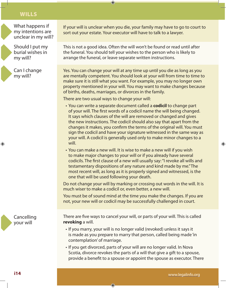What happens if my intentions are unclear in my will?

Should I put my burial wishes in my will?



♠

Can I change my will?

If your will is unclear when you die, your family may have to go to court to sort out your estate. Your executor will have to talk to a lawyer.

This is not a good idea. Often the will won't be found or read until after the funeral. You should tell your wishes to the person who is likely to arrange the funeral, or leave separate written instructions.

Yes. You can change your will at any time up until you die as long as you are mentally competent. You should look at your will from time to time to make sure it is still what you want. For example, you may no longer own property mentioned in your will. You may want to make changes because of births, deaths, marriages, or divorces in the family.

There are two usual ways to change your will:

 $\bigoplus$ 

- You can write a separate document called a **codicil** to change part of your will. The first words of a codicil name the will being changed. It says which clauses of the will are removed or changed and gives the new instructions. The codicil should also say that apart from the changes it makes, you confirm the terms of the original will. You must sign the codicil and have your signature witnessed in the same way as your will. A codicil is generally used only to make minor changes to a will.
- You can make a new will. It is wise to make a new will if you wish to make major changes to your will or if you already have several codicils. The first clause of a new will usually say: "I revoke all wills and testamentary dispositions of any nature and kind made by me." The most recent will, as long as it is properly signed and witnessed, is the one that will be used following your death.

Do not change your will by marking or crossing out words in the will. It is much wiser to make a codicil or, even better, a new will.

You must be of sound mind at the time you make the changes. If you are not, your new will or codicil may be successfully challenged in court.

**Cancelling** your will

There are five ways to cancel your will, or parts of your will. This is called **revoking** a will.

- If you marry, your will is no longer valid (revoked) unless it says it is made as you prepare to marry that person, called being made 'in contemplation' of marriage.
- If you get divorced, parts of your will are no longer valid. In Nova Scotia, divorce revokes the parts of a will that give a gift to a spouse, provide a benefit to a spouse or appoint the spouse as executor. There

◈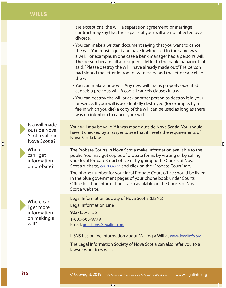are exceptions: the will, a separation agreement, or marriage contract may say that these parts of your will are not affected by a divorce.

 $\bigoplus$ 

- You can make a written document saying that you want to cancel the will. You must sign it and have it witnessed in the same way as a will. For example, in one case a bank manager had a person's will. The person became ill and signed a letter to the bank manager that said: "Please destroy the will I have already made out." The person had signed the letter in front of witnesses, and the letter cancelled the will.
- You can make a new will. Any new will that is properly executed cancels a previous will. A codicil cancels clauses in a will.
- You can destroy the will or ask another person to destroy it in your presence. If your will is accidentally destroyed (for example, by a fire in which you die) a copy of the will can be used as long as there was no intention to cancel your will.

Is a will made outside Nova Scotia valid in Nova Scotia?

Where can I get information on probate?

 $\bigoplus$ 

Where can I get more information on making a will?

Your will may be valid if it was made outside Nova Scotia. You should have it checked by a lawyer to see that it meets the requirements of Nova Scotia law.

⊕

The Probate Courts in Nova Scotia make information available to the public. You may get copies of probate forms by visiting or by calling your local Probate Court office or by going to the Courts of Nova Scotia website, courts.ns.ca and click on the "Probate Court" tab.

The phone number for your local Probate Court office should be listed in the blue government pages of your phone book under Courts. Office location information is also available on the Courts of Nova Scotia website.

Legal Information Society of Nova Scotia (LISNS)

 $\bigoplus$ 

Legal Information Line 902-455-3135 1-800-665-9779 Email: questions@legalinfo.org

LISNS has online information about Making a Will at www.legalinfo.org

The Legal Information Society of Nova Scotia can also refer you to a lawyer who does wills.